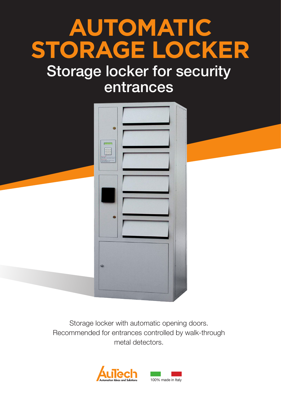# **AUTOMATIC STORAGE LOCKER**

# Storage locker for security entrances



Storage locker with automatic opening doors. Recommended for entrances controlled by walk-through metal detectors.